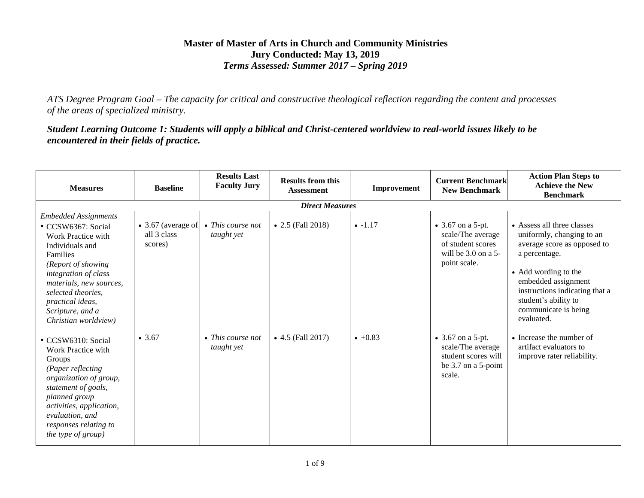#### **Master of Master of Arts in Church and Community Ministries Jury Conducted: May 13, 2019** *Terms Assessed: Summer 2017 – Spring 2019*

*ATS Degree Program Goal – The capacity for critical and constructive theological reflection regarding the content and processes of the areas of specialized ministry.*

*Student Learning Outcome 1: Students will apply a biblical and Christ-centered worldview to real-world issues likely to be encountered in their fields of practice.*

| <b>Measures</b>                                                                                                                                                                                                                                                     | <b>Baseline</b>                                      | <b>Results Last</b><br><b>Faculty Jury</b> | <b>Results from this</b><br><b>Assessment</b> | Improvement | <b>Current Benchmark</b><br><b>New Benchmark</b>                                                         | <b>Action Plan Steps to</b><br><b>Achieve the New</b><br><b>Benchmark</b>                                                                                                                                                                              |  |  |  |  |
|---------------------------------------------------------------------------------------------------------------------------------------------------------------------------------------------------------------------------------------------------------------------|------------------------------------------------------|--------------------------------------------|-----------------------------------------------|-------------|----------------------------------------------------------------------------------------------------------|--------------------------------------------------------------------------------------------------------------------------------------------------------------------------------------------------------------------------------------------------------|--|--|--|--|
| <b>Direct Measures</b>                                                                                                                                                                                                                                              |                                                      |                                            |                                               |             |                                                                                                          |                                                                                                                                                                                                                                                        |  |  |  |  |
| <b>Embedded Assignments</b><br>CCSW6367: Social<br>Work Practice with<br>Individuals and<br>Families<br>(Report of showing<br>integration of class<br>materials, new sources,<br>selected theories,<br>practical ideas,<br>Scripture, and a<br>Christian worldview) | $\bullet$ 3.67 (average of<br>all 3 class<br>scores) | $\bullet$ This course not<br>taught yet    | • 2.5 (Fall 2018)                             | $-1.17$     | • $3.67$ on a 5-pt.<br>scale/The average<br>of student scores<br>will be $3.0$ on a $5-$<br>point scale. | • Assess all three classes<br>uniformly, changing to an<br>average score as opposed to<br>a percentage.<br>• Add wording to the<br>embedded assignment<br>instructions indicating that a<br>student's ability to<br>communicate is being<br>evaluated. |  |  |  |  |
| • CCSW6310: Social<br>Work Practice with<br>Groups<br>(Paper reflecting<br>organization of group,<br>statement of goals,<br>planned group<br>activities, application,<br>evaluation, and<br>responses relating to<br>the type of group)                             | • 3.67                                               | $\bullet$ This course not<br>taught yet    | $\bullet$ 4.5 (Fall 2017)                     | $+0.83$     | • $3.67$ on a 5-pt.<br>scale/The average<br>student scores will<br>be 3.7 on a 5-point<br>scale.         | • Increase the number of<br>artifact evaluators to<br>improve rater reliability.                                                                                                                                                                       |  |  |  |  |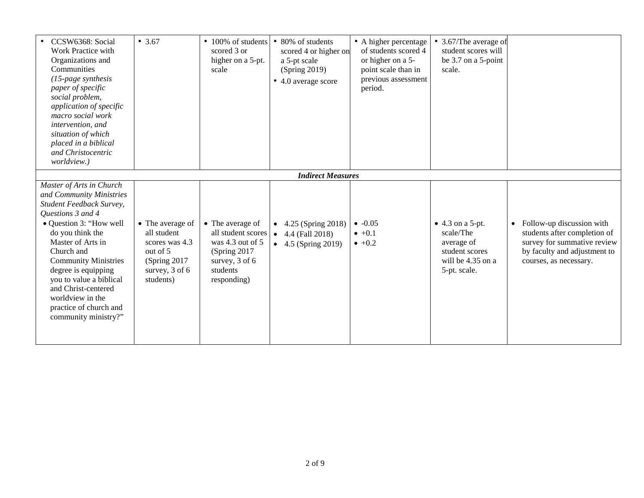| CCSW6368: Social<br>Work Practice with<br>Organizations and<br>Communities<br>$(15$ -page synthesis<br>paper of specific<br>social problem,<br>application of specific<br>macro social work<br>intervention, and<br>situation of which<br>placed in a biblical<br>and Christocentric<br><i>worldview.</i> )                                                           | • $3.67$                                                                                                        | • 100% of students<br>scored 3 or<br>higher on a 5-pt.<br>scale                                                              | • 80% of students<br>scored 4 or higher on<br>a 5-pt scale<br>(Spring 2019)<br>• 4.0 average score | • A higher percentage<br>of students scored 4<br>or higher on a 5-<br>point scale than in<br>previous assessment<br>period. | • 3.67/The average of<br>student scores will<br>be 3.7 on a 5-point<br>scale.                              |                                                                                                                                                                 |
|-----------------------------------------------------------------------------------------------------------------------------------------------------------------------------------------------------------------------------------------------------------------------------------------------------------------------------------------------------------------------|-----------------------------------------------------------------------------------------------------------------|------------------------------------------------------------------------------------------------------------------------------|----------------------------------------------------------------------------------------------------|-----------------------------------------------------------------------------------------------------------------------------|------------------------------------------------------------------------------------------------------------|-----------------------------------------------------------------------------------------------------------------------------------------------------------------|
|                                                                                                                                                                                                                                                                                                                                                                       |                                                                                                                 |                                                                                                                              | <b>Indirect Measures</b>                                                                           |                                                                                                                             |                                                                                                            |                                                                                                                                                                 |
| Master of Arts in Church<br>and Community Ministries<br>Student Feedback Survey,<br>Questions 3 and 4<br>• Question 3: "How well<br>do you think the<br>Master of Arts in<br>Church and<br><b>Community Ministries</b><br>degree is equipping<br>you to value a biblical<br>and Christ-centered<br>worldview in the<br>practice of church and<br>community ministry?" | • The average of<br>all student<br>scores was 4.3<br>out of 5<br>(Spring 2017)<br>survey, $3$ of 6<br>students) | • The average of<br>all student scores<br>was 4.3 out of 5<br>(Spring 2017)<br>survey, $3$ of $6$<br>students<br>responding) | • $4.25$ (Spring 2018)<br>4.4 (Fall 2018)<br>$\bullet$<br>• $4.5$ (Spring 2019)                    | $-0.05$<br>$\bullet$ +0.1<br>$\bullet +0.2$                                                                                 | $\bullet$ 4.3 on a 5-pt.<br>scale/The<br>average of<br>student scores<br>will be 4.35 on a<br>5-pt. scale. | Follow-up discussion with<br>$\bullet$<br>students after completion of<br>survey for summative review<br>by faculty and adjustment to<br>courses, as necessary. |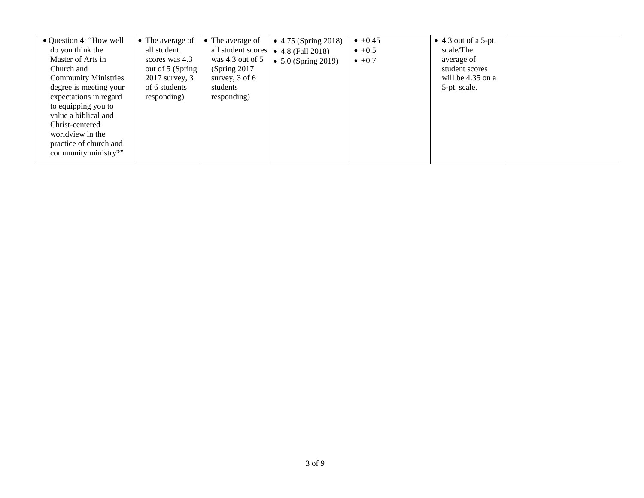| • Question 4: "How well<br>do you think the<br>Master of Arts in<br>Church and<br><b>Community Ministries</b><br>degree is meeting your<br>expectations in regard<br>to equipping you to<br>value a biblical and | • The average of<br>all student<br>scores was 4.3<br>out of 5 (Spring)<br>$2017$ survey, $3$<br>of 6 students<br>responding) | • The average of<br>all student scores<br>was 4.3 out of $5$<br>(Spring 2017)<br>survey, $3$ of 6<br>students<br>responding) | • $4.75$ (Spring 2018)<br>$\bullet$ 4.8 (Fall 2018)<br>• $5.0$ (Spring 2019) | $+0.45$<br>$\bullet$ +0.5<br>$\bullet +0.7$ | $\bullet$ 4.3 out of a 5-pt.<br>scale/The<br>average of<br>student scores<br>will be $4.35$ on a<br>5-pt. scale. |  |
|------------------------------------------------------------------------------------------------------------------------------------------------------------------------------------------------------------------|------------------------------------------------------------------------------------------------------------------------------|------------------------------------------------------------------------------------------------------------------------------|------------------------------------------------------------------------------|---------------------------------------------|------------------------------------------------------------------------------------------------------------------|--|
|                                                                                                                                                                                                                  |                                                                                                                              |                                                                                                                              |                                                                              |                                             |                                                                                                                  |  |
| Christ-centered                                                                                                                                                                                                  |                                                                                                                              |                                                                                                                              |                                                                              |                                             |                                                                                                                  |  |
| worldview in the<br>practice of church and                                                                                                                                                                       |                                                                                                                              |                                                                                                                              |                                                                              |                                             |                                                                                                                  |  |
| community ministry?"                                                                                                                                                                                             |                                                                                                                              |                                                                                                                              |                                                                              |                                             |                                                                                                                  |  |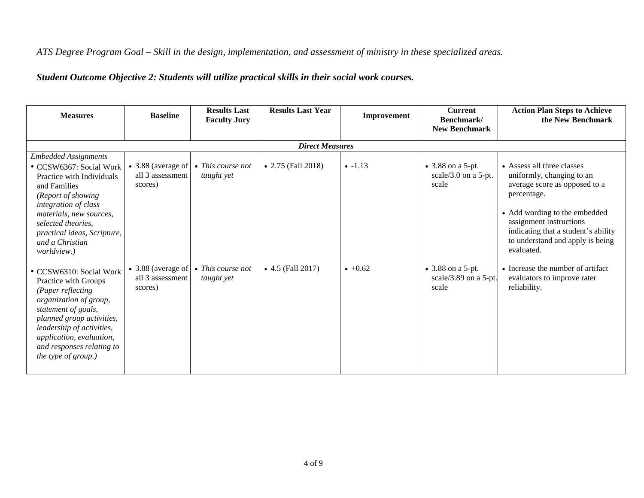### *ATS Degree Program Goal – Skill in the design, implementation, and assessment of ministry in these specialized areas.*

# *Student Outcome Objective 2: Students will utilize practical skills in their social work courses.*

| <b>Measures</b>                                                                                                                                                                                                                                                     | <b>Baseline</b>                                   | <b>Results Last</b><br><b>Faculty Jury</b> | <b>Results Last Year</b> | Improvement | <b>Current</b><br>Benchmark/<br><b>New Benchmark</b>  | <b>Action Plan Steps to Achieve</b><br>the New Benchmark                                                                                                                                                                                                     |  |  |  |  |
|---------------------------------------------------------------------------------------------------------------------------------------------------------------------------------------------------------------------------------------------------------------------|---------------------------------------------------|--------------------------------------------|--------------------------|-------------|-------------------------------------------------------|--------------------------------------------------------------------------------------------------------------------------------------------------------------------------------------------------------------------------------------------------------------|--|--|--|--|
|                                                                                                                                                                                                                                                                     | <b>Direct Measures</b>                            |                                            |                          |             |                                                       |                                                                                                                                                                                                                                                              |  |  |  |  |
| <b>Embedded Assignments</b><br>• CCSW6367: Social Work<br>Practice with Individuals<br>and Families<br>(Report of showing<br>integration of class<br>materials, new sources,<br>selected theories.<br>practical ideas, Scripture,<br>and a Christian<br>worldview.) | • 3.88 (average of<br>all 3 assessment<br>scores) | $\bullet$ This course not<br>taught yet    | • 2.75 (Fall 2018)       | $-1.13$     | • 3.88 on a 5-pt.<br>scale/3.0 on a $5$ -pt.<br>scale | • Assess all three classes<br>uniformly, changing to an<br>average score as opposed to a<br>percentage.<br>• Add wording to the embedded<br>assignment instructions<br>indicating that a student's ability<br>to understand and apply is being<br>evaluated. |  |  |  |  |
| • CCSW6310: Social Work<br>Practice with Groups<br>(Paper reflecting<br>organization of group,<br>statement of goals,<br>planned group activities,<br>leadership of activities,<br>application, evaluation,<br>and responses relating to<br>the type of group.)     | • 3.88 (average of<br>all 3 assessment<br>scores) | $\bullet$ This course not<br>taught yet    | • $4.5$ (Fall 2017)      | $+0.62$     | • 3.88 on a 5-pt.<br>scale/3.89 on a 5-pt.<br>scale   | • Increase the number of artifact<br>evaluators to improve rater<br>reliability.                                                                                                                                                                             |  |  |  |  |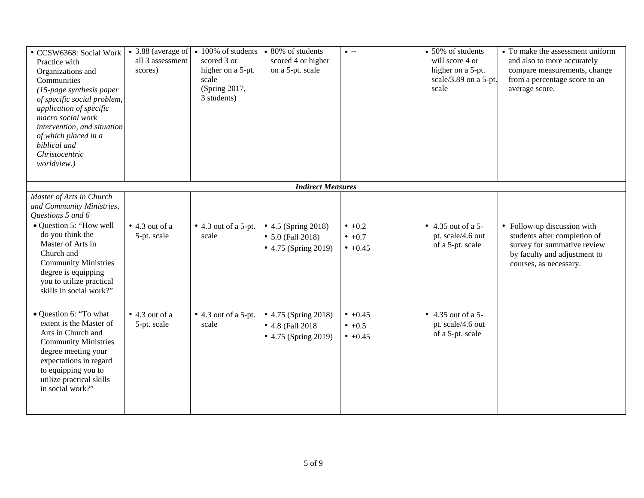| · CCSW6368: Social Work<br>Practice with<br>Organizations and<br>Communities<br>(15-page synthesis paper<br>of specific social problem,<br>application of specific<br>macro social work<br>intervention, and situation<br>of which placed in a<br>biblical and<br>Christocentric<br>worldview.) | • 3.88 (average of<br>all 3 assessment<br>scores) | • 100% of students<br>scored 3 or<br>higher on a 5-pt.<br>scale<br>(Spring 2017,<br>3 students) | • 80% of students<br>scored 4 or higher<br>on a 5-pt. scale              | $\bullet$ --                       | • 50% of students<br>will score 4 or<br>higher on a 5-pt.<br>scale/3.89 on a 5-pt.<br>scale | • To make the assessment uniform<br>and also to more accurately<br>compare measurements, change<br>from a percentage score to an<br>average score.   |
|-------------------------------------------------------------------------------------------------------------------------------------------------------------------------------------------------------------------------------------------------------------------------------------------------|---------------------------------------------------|-------------------------------------------------------------------------------------------------|--------------------------------------------------------------------------|------------------------------------|---------------------------------------------------------------------------------------------|------------------------------------------------------------------------------------------------------------------------------------------------------|
|                                                                                                                                                                                                                                                                                                 |                                                   |                                                                                                 | <b>Indirect Measures</b>                                                 |                                    |                                                                                             |                                                                                                                                                      |
| Master of Arts in Church<br>and Community Ministries,<br>Questions 5 and 6<br>• Question 5: "How well<br>do you think the<br>Master of Arts in<br>Church and<br><b>Community Ministries</b><br>degree is equipping<br>you to utilize practical<br>skills in social work?"                       | $\bullet$ 4.3 out of a<br>5-pt. scale             | $\bullet$ 4.3 out of a 5-pt.<br>scale                                                           | • 4.5 (Spring 2018)<br>$\bullet$ 5.0 (Fall 2018)<br>• 4.75 (Spring 2019) | $• +0.2$<br>$• +0.7$<br>$• +0.45$  | • 4.35 out of a 5-<br>pt. scale/4.6 out<br>of a 5-pt. scale                                 | • Follow-up discussion with<br>students after completion of<br>survey for summative review<br>by faculty and adjustment to<br>courses, as necessary. |
| • Question 6: "To what<br>extent is the Master of<br>Arts in Church and<br><b>Community Ministries</b><br>degree meeting your<br>expectations in regard<br>to equipping you to<br>utilize practical skills<br>in social work?"                                                                  | $\bullet$ 4.3 out of a<br>5-pt. scale             | $\bullet$ 4.3 out of a 5-pt.<br>scale                                                           | • 4.75 (Spring 2018)<br>• 4.8 (Fall 2018<br>• 4.75 (Spring 2019)         | $• +0.45$<br>$• +0.5$<br>$• +0.45$ | • 4.35 out of a 5-<br>pt. scale/4.6 out<br>of a 5-pt. scale                                 |                                                                                                                                                      |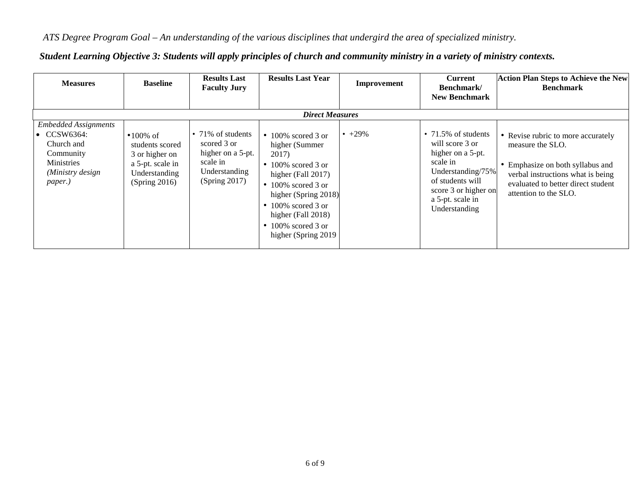## *ATS Degree Program Goal – An understanding of the various disciplines that undergird the area of specialized ministry.*

| <b>Measures</b>                                                                                                            | <b>Baseline</b>                                                                                        | <b>Results Last</b><br><b>Faculty Jury</b>                                                                | <b>Results Last Year</b>                                                                                                                                                                                                | Improvement | <b>Current</b><br>Benchmark/                                                                                                                                                               | <b>Action Plan Steps to Achieve the New</b><br><b>Benchmark</b>                                                                                                                                |
|----------------------------------------------------------------------------------------------------------------------------|--------------------------------------------------------------------------------------------------------|-----------------------------------------------------------------------------------------------------------|-------------------------------------------------------------------------------------------------------------------------------------------------------------------------------------------------------------------------|-------------|--------------------------------------------------------------------------------------------------------------------------------------------------------------------------------------------|------------------------------------------------------------------------------------------------------------------------------------------------------------------------------------------------|
| <b>Embedded Assignments</b><br>$\bullet$ CCSW6364:<br>Church and<br>Community<br>Ministries<br>(Ministry design<br>paper.) | $•100\%$ of<br>students scored<br>3 or higher on<br>a 5-pt. scale in<br>Understanding<br>(Spring 2016) | $\cdot$ 71% of students<br>scored 3 or<br>higher on a 5-pt.<br>scale in<br>Understanding<br>(Spring 2017) | <b>Direct Measures</b><br>$\bullet$ 100% scored 3 or<br>higher (Summer<br>2017)<br>$\bullet$ 100% scored 3 or<br>higher (Fall 2017)<br>$\bullet$ 100% scored 3 or<br>higher (Spring 2018)<br>$\bullet$ 100% scored 3 or | $+29\%$     | <b>New Benchmark</b><br>$\cdot$ 71.5% of students<br>will score 3 or<br>higher on a 5-pt.<br>scale in<br>Understanding/75%<br>of students will<br>score 3 or higher on<br>a 5-pt. scale in | • Revise rubric to more accurately<br>measure the SLO.<br>• Emphasize on both syllabus and<br>verbal instructions what is being<br>evaluated to better direct student<br>attention to the SLO. |
|                                                                                                                            |                                                                                                        |                                                                                                           | higher (Fall 2018)<br>$\bullet$ 100% scored 3 or<br>higher (Spring 2019)                                                                                                                                                |             | Understanding                                                                                                                                                                              |                                                                                                                                                                                                |

### *Student Learning Objective 3: Students will apply principles of church and community ministry in a variety of ministry contexts.*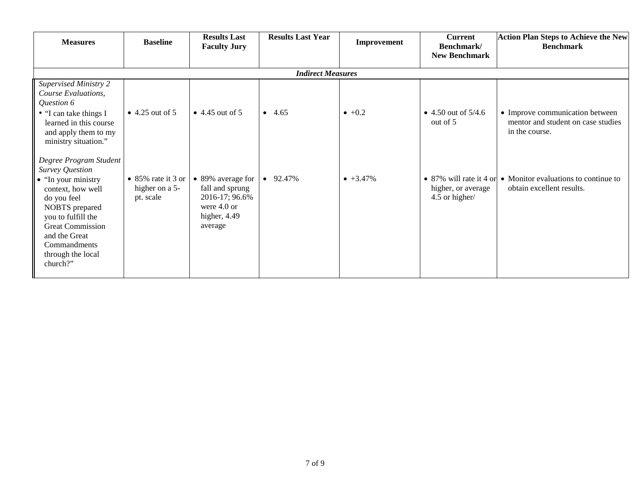| <b>Measures</b>                                                                                                                                                                                                                                           | <b>Baseline</b>                                   | <b>Results Last</b><br><b>Faculty Jury</b>                                                           | <b>Results Last Year</b> | Improvement      | <b>Current</b><br>Benchmark/         | <b>Action Plan Steps to Achieve the New</b><br><b>Benchmark</b>                                   |  |  |  |
|-----------------------------------------------------------------------------------------------------------------------------------------------------------------------------------------------------------------------------------------------------------|---------------------------------------------------|------------------------------------------------------------------------------------------------------|--------------------------|------------------|--------------------------------------|---------------------------------------------------------------------------------------------------|--|--|--|
|                                                                                                                                                                                                                                                           |                                                   |                                                                                                      |                          |                  | <b>New Benchmark</b>                 |                                                                                                   |  |  |  |
| <b>Indirect Measures</b>                                                                                                                                                                                                                                  |                                                   |                                                                                                      |                          |                  |                                      |                                                                                                   |  |  |  |
| <b>Supervised Ministry 2</b><br>Course Evaluations,<br>Question 6<br>• "I can take things I<br>learned in this course<br>and apply them to my<br>ministry situation."                                                                                     | $\bullet$ 4.25 out of 5                           | $\bullet$ 4.45 out of 5                                                                              | $-4.65$                  | $\bullet +0.2$   | • 4.50 out of $5/4.6$<br>out of 5    | • Improve communication between<br>mentor and student on case studies<br>in the course.           |  |  |  |
| Degree Program Student<br><b>Survey Question</b><br>$\bullet$ "In your ministry"<br>context, how well<br>do you feel<br>NOBTS prepared<br>you to fulfill the<br><b>Great Commission</b><br>and the Great<br>Commandments<br>through the local<br>church?" | • 85% rate it 3 or<br>higher on a 5-<br>pt. scale | • 89% average for<br>fall and sprung<br>2016-17; 96.6%<br>were $4.0$ or<br>higher, $4.49$<br>average | $\bullet$ 92.47%         | $\bullet$ +3.47% | higher, or average<br>4.5 or higher/ | • 87% will rate it 4 or $\bullet$ Monitor evaluations to continue to<br>obtain excellent results. |  |  |  |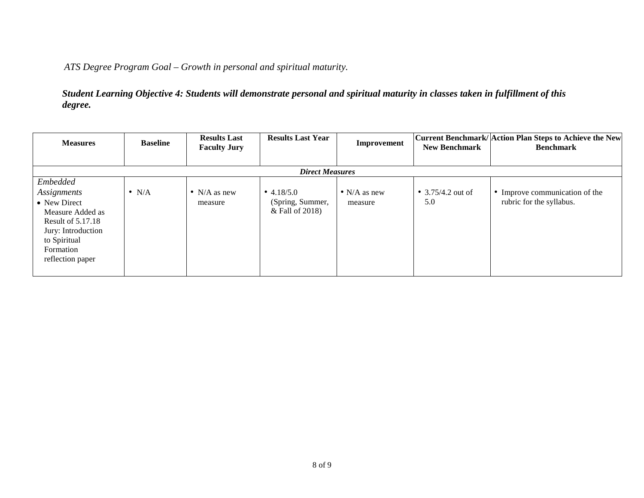*ATS Degree Program Goal – Growth in personal and spiritual maturity.*

*Student Learning Objective 4: Students will demonstrate personal and spiritual maturity in classes taken in fulfillment of this degree.*

| <b>Measures</b>                                                                                                                                         | <b>Baseline</b> | <b>Results Last</b><br><b>Faculty Jury</b> | <b>Results Last Year</b>                            | Improvement                     | <b>New Benchmark</b>     | Current Benchmark/ Action Plan Steps to Achieve the New<br><b>Benchmark</b> |
|---------------------------------------------------------------------------------------------------------------------------------------------------------|-----------------|--------------------------------------------|-----------------------------------------------------|---------------------------------|--------------------------|-----------------------------------------------------------------------------|
|                                                                                                                                                         |                 |                                            | <b>Direct Measures</b>                              |                                 |                          |                                                                             |
| Embedded<br>Assignments<br>• New Direct<br>Measure Added as<br>Result of 5.17.18<br>Jury: Introduction<br>to Spiritual<br>Formation<br>reflection paper | $\bullet$ N/A   | • N/A as new<br>measure                    | • $4.18/5.0$<br>(Spring, Summer,<br>& Fall of 2018) | $\bullet$ N/A as new<br>measure | • 3.75/4.2 out of<br>5.0 | • Improve communication of the<br>rubric for the syllabus.                  |